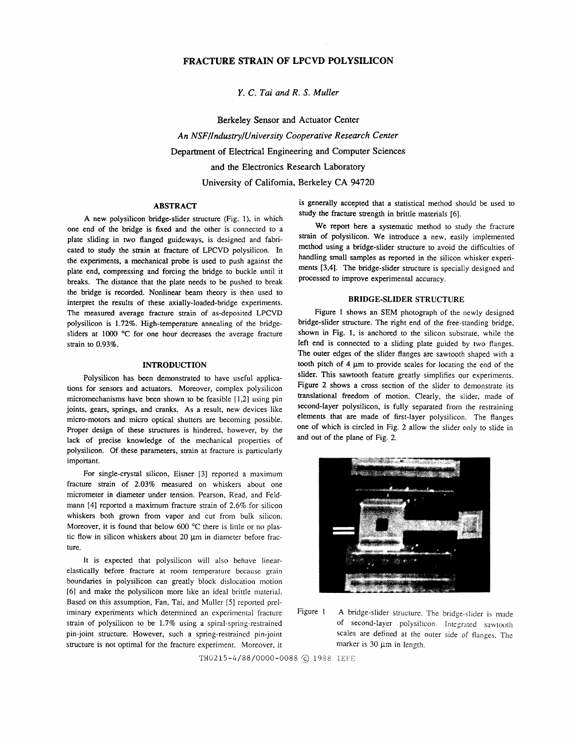# FRACTURE STRAIN OF LPCVD POLYSILICON

*Y.* C. *Tai and R. S. Muller* 

Berkeley Sensor and Actuator Center *An NSF/Industry/University Cooperative Research Center*  Department of Electrical Engineering and Computer Sciences and the Electronics Research Laboratory University of California, Berkeley CA 94720

## ABSTRACT

A new polysilicon bridge-slider structure (Fig. 1), in which one end of the bridge is fixed and the other is connected to a plate sliding in two flanged guideways, is designed and fabricated to study the strain at fracture of LPCVD polysilicon. In the experiments, a mechanical probe is used to push against the plate end, compressing and forcing the bridge to buckle until it breaks. The distance that the plate needs to be pushed to break the bridge is recorded. Nonlinear beam theory is then used to interpret the results of these axially-loaded-bridge experiments. The measured average fracture strain of as-deposited LPCVD polysilicon is 1.72%. High-temperature annealing of the bridgesliders at 1000 °C for one hour decreases the average fracture strain to 0.93%.

#### INTRODUCTION

Polysilicon has been demonstrated to have useful applications for sensors and actuators. Moreover, complex polysilicon micromechanisms have been shown to be feasible [1,2] using pin joints, gears, springs, and cranks. As a result, new devices like micro-motors and micro optical shutters are becoming possible. Proper design of these structures is hindered, however, by the lack of precise knowledge of the mechanical properties of polysilicon. Of these parameters, strain at fracture is particularly important.

For single-crystal silicon, Eisner [3] reported a maximum fracture strain of 2.03% measured on whiskers about one micrometer in diameter under tension. Pearson, Read, and Feldmann [4] reported a maximum fracture strain of 2.6% for silicon whiskers both grown from vapor and cut from bulk silicon. Moreover, it is found that below 600 °C there is little or no plastic flow in silicon whiskers about 20  $\mu$ m in diameter before fracture.

It is expected that polysilicon will also behave linearelastically before fracture at room temperature because grain boundaries in polysilicon can greatly block dislocation motion [6] and make the polysilicon more like an ideal brittle material. Based on this assumption, Fan, Tai, and Muller [5] reported preliminary experiments which determined an experimental fracture strain of polysilicon to be 1.7% using a spiral-spring-restrained pin-joint structure. However, such a spring-restrained pin-joint structure is not optimal for the fracture experiment. Moreover, it is generally accepted that a statistical method should be used to study the fracture strength in brittle materials [6].

We report here a systematic method to study the fracture strain of polysilicon. We introduce a new, easily implemented method using a bridge-slider structure to avoid the difficulties of handling small samples as reported in the silicon whisker experiments [3,4]. The bridge-slider structure is specially designed and processed to improve experimental accuracy.

### BRIDGE-SLIDER STRUCTURE

Figure 1 shows an SEM photograph of the newly designed bridge-slider structure. The right end of the free-standing bridge, shown in Fig. 1, is anchored to the silicon substrate, while the left end is connected to a sliding plate guided by two flanges. The outer edges of the slider flanges are sawtooth shaped with a tooth pitch of  $4 \mu m$  to provide scales for locating the end of the slider. This sawtooth feature greatly simplifies our experiments. Figure 2 shows a cross section of the slider to demonstrate its translational freedom of motion. Clearly, the slider, made of second-layer polysilicon, is fully separated from the restraining elements that are made of first-layer polysilicon. The flanges one of which is circled in Fig. 2 allow the slider only to slide in and out of the plane of Fig. 2.





TH0215-4/88/0000-0088 © 1988 IEEE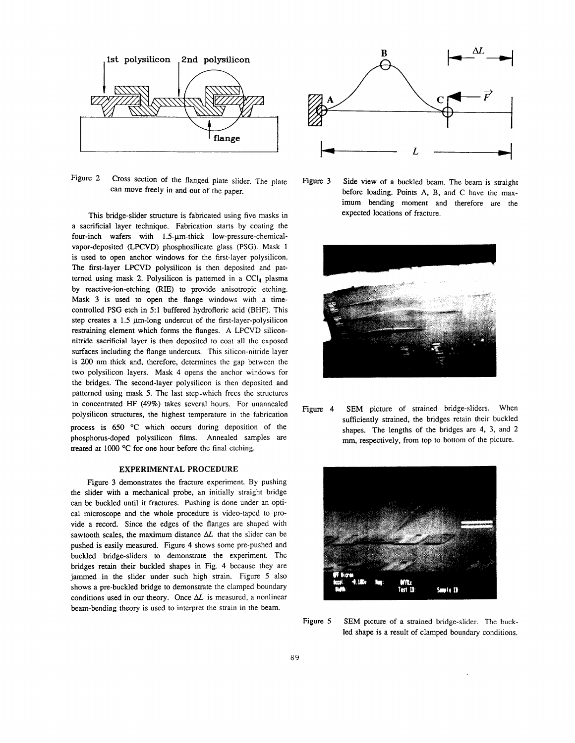

Figure 2 Cross section of the flanged plate slider. The plate can move freely in and out of the paper.

This bridge-slider structure is fabricated using five masks in a sacrificial layer technique. Fabrication starts by coating the four-inch wafers with 1.5-um-thick low-pressure-chemicalvapor-deposited (LPCVD) phosphosilicate glass (PSG). Mask 1 is used to open anchor windows for the first-layer polysilicon. The first-layer LPCVD polysilicon is then deposited and patterned using mask 2. Polysilicon is patterned in a  $CCI<sub>4</sub>$  plasma by reactive-ion-etching (RIE) to provide anisotropic etching. Mask 3 is used to open the flange windows with a timecontrolled PSG etch in 5:1 buffered hydrofloric acid (BHF). This step creates a  $1.5 \mu m$ -long undercut of the first-layer-polysilicon restraining element which forms the flanges. A LPCVD siliconnitride sacrificial layer is then deposited to coat all the exposed surfaces including the flange undercuts. This silicon-nitride layer is 200 nm thick and, therefore, determines the gap between the two polysilicon layers. Mask 4 opens the anchor windows for the bridges. The second-layer polysilicon is then deposited and patterned using mask 5. The last step .which frees the structures in concentrated HF (49%) takes several hours. For unannealed polysilicon structures, the highest temperature in the fabrication process is  $650$  °C which occurs during deposition of the phosphorus-doped polysilicon films. Annealed samples are treated at 1000 °C for one hour before the final etching.

### EXPERIMENTAL PROCEDURE

Figure 3 demonstrates the fracture experiment. By pushing the slider with a mechanical probe, an initially straight bridge can be buckled until it fractures. Pushing is done under an optical microscope and the whole procedure is video-taped to provide a record. Since the edges of the flanges are shaped with sawtooth scales, the maximum distance  $\Delta L$  that the slider can be pushed is easily measured. Figure 4 shows some pre-pushed and buckled bridge-sliders to demonstrate the experiment. The bridges retain their buckled shapes in Fig. 4 because they are jammed in the slider under such high strain. Figure *5* also shows a pre-buckled bridge to demonstrate the clamped boundary conditions used in our theory. Once  $\Delta L$  is measured, a nonlinear beam-bending theory is used to interpret the strain in the beam.



Figure 3 Side view of a buckled beam. The beam is straight before loading. Points A, B, and C have the maximum bending moment and therefore are the expected locations of fracture.



Figure 4 SEM picture of strained bridge-sliders. When sufficiently strained, the bridges retain their buckled shapes. The lengths of the bridges are 4, 3, and 2 mm, respectively, from top to bottom of the picture.



Figure 5 SEM picture of a strained bridge-slider. The buckled shape is a result of clamped boundary conditions.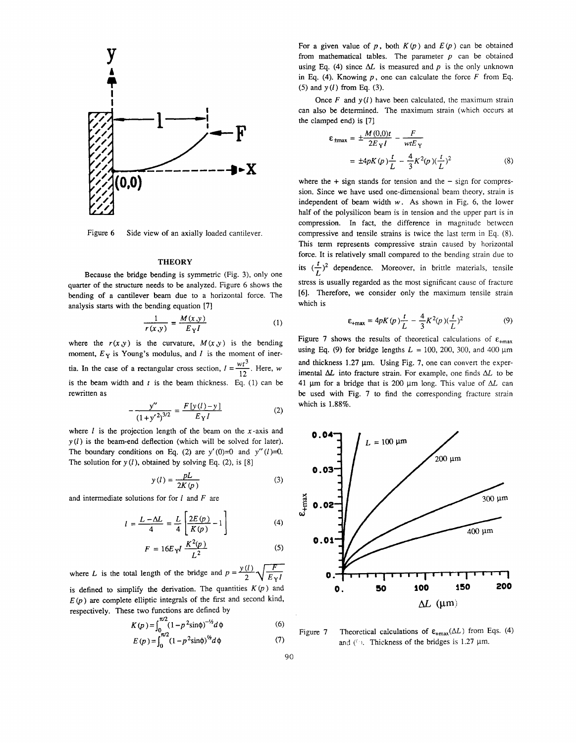

Figure 6 Side view of an axially loaded cantilever.

#### **THEORY**

Because the bridge bending is symmetric (Fig. 3), only one quarter of the structure needs to be analyzed. Figure 6 shows the bending of a cantilever beam due to a horizontal force. The analysis starts with the bending equation [7]<br> $\frac{1}{\sqrt{M(x,y)}}$ 

$$
\frac{1}{r(x,y)} = \frac{M(x,y)}{E_{\gamma}I} \tag{1}
$$

where the  $r(x,y)$  is the curvature,  $M(x,y)$  is the bending moment,  $E_Y$  is Young's modulus, and *I* is the moment of inertia. In the case of a rectangular cross section,  $I = \frac{wt^3}{12}$ . Here, *w* is the beam width and *t* is the beam thickness. Eq. (1) can be rewritten as

$$
-\frac{y''}{(1+y'^2)^{3/2}} = \frac{F[y(l)-y]}{E_YI}
$$
 (2)

where  $l$  is the projection length of the beam on the  $x$ -axis and  $y(l)$  is the beam-end deflection (which will be solved for later). The boundary conditions on Eq. (2) are  $y'(0)=0$  and  $y''(1)=0$ . The solution for  $y(l)$ , obtained by solving Eq. (2), is [8]

$$
y(l) = \frac{pL}{2K(p)}\tag{3}
$$

and intermediate solutions for for  $l$  and  $F$  are

$$
l = \frac{L - \Delta L}{4} = \frac{L}{4} \left[ \frac{2E(p)}{K(p)} - 1 \right]
$$
 (4)

$$
F = 16E_{Y}I \frac{K^{2}(p)}{L^{2}}
$$
 (5)

where *L* is the total length of the bridge and  $p = \frac{y(l)}{2} \sqrt{\frac{F}{E_{\gamma}l}}$ is defined to simplify the derivation. The quantities  $K(p)$  and  $E(p)$  are complete elliptic integrals of the first and second kind, respectively. These two functions are defined by

$$
K(p) = \int_{0}^{\pi/2} (1 - p^2 \sin \phi)^{-1/2} d\phi
$$
 (6)

$$
E(p) = \int_0^{\pi/2} (1 - p^2 \sin \phi)^{1/2} d\phi
$$
 (7)

For a given value of p, both  $K(p)$  and  $E(p)$  can be obtained from mathematical tables. The parameter  $p$  can be obtained using Eq. (4) since  $\Delta L$  is measured and p is the only unknown in Eq. (4). Knowing  $p$ , one can calculate the force  $F$  from Eq. (5) and  $y(l)$  from Eq. (3).

Once  $F$  and  $y(l)$  have been calculated, the maximum strain can also be determined. The maximum strain (which occurs at the clamped end) is [7]

$$
\varepsilon_{\text{tmax}} = \pm \frac{M(0,0)t}{2E_{\text{Y}}I} - \frac{F}{wtE_{\text{Y}}}
$$
  
=  $\pm 4pK(p)\frac{t}{L} - \frac{4}{3}K^2(p)(\frac{t}{L})^2$  (8)

where the  $+$  sign stands for tension and the  $-$  sign for compression. Since we have used one-dimensional beam theory, strain is independent of beam width *w.* As shown in Fig. 6, the lower half of the polysilicon beam is in tension and the upper part is in compression. In fact, the difference in magnitude between compressive and tensile strains is twice the last term in Eq. (8). This term represents compressive strain caused by horizontal force. It is relatively small compared to the bending strain due to its  $(\frac{r}{l})^2$  dependence. Moreover, in brittle materials, tensile stress is usually regarded as the most significant cause of fracture [6]. Therefore, we consider only the maximum tensile strain which is

$$
\varepsilon_{+\max} = 4pK(p)\frac{t}{L} - \frac{4}{3}K^2(p)(\frac{t}{L})^2
$$
 (9)

Figure 7 shows the results of theoretical calculations of  $\varepsilon_{\text{+max}}$ using Eq. (9) for bridge lengths  $L = 100$ , 200, 300, and 400  $\mu$ m and thickness  $1.27 \mu m$ . Using Fig. 7, one can convert the experimental  $\Delta L$  into fracture strain. For example, one finds  $\Delta L$  to be 41 µm for a bridge that is 200 µm long. This value of  $\Delta L$  can be used with Fig. 7 to find the corresponding fracture strain which is 1.88%.



Figure 7 Theoretical calculations of  $\varepsilon_{\text{+max}}(\Delta L)$  from Eqs. (4) and ( $\Omega$ ). Thickness of the bridges is 1.27  $\mu$ m.